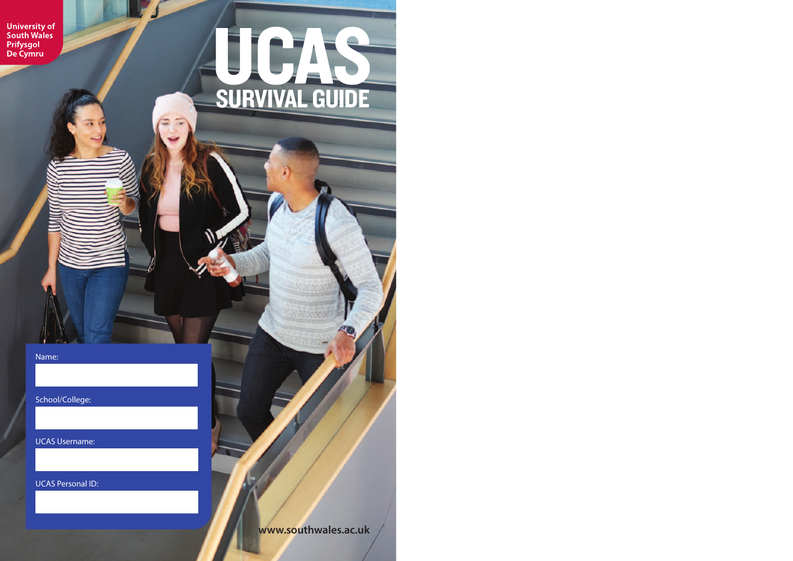University of<br>South Wales<br>Prifysgol<br>De Cymru

Name:

 $\sim$ 

School/College:

UCAS Username:

UCAS Personal ID:

**www.southwales.ac.uk**

SURVIVAL GUIDE

**JCAS**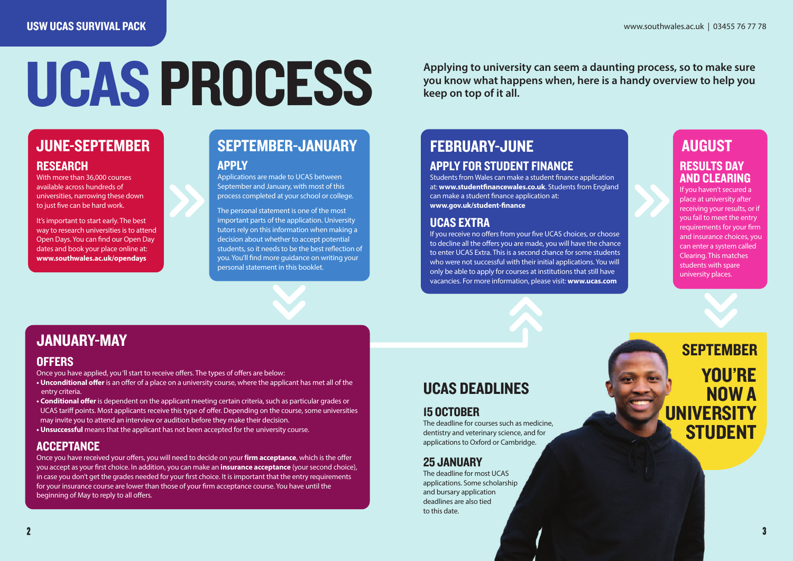# **UCAS PROCESS** Applying to university our Keep on top of it all.

**Applying to university can seem a daunting process, so to make sure**

### JUNE-SEPTEMBER

#### **RESEARCH**

With more than 36,000 courses available across hundreds of universities, narrowing these down to just five can be hard work.

It's important to start early. The best way to research universities is to attend Open Days. You can find our Open Day dates and book your place online at: **www.southwales.ac.uk/opendays**

### SEPTEMBER-JANUARY FEBRUARY-JUNE AUGUST

#### APPLY

Applications are made to UCAS between September and January, with most of this process completed at your school or college.

The personal statement is one of the most important parts of the application. University tutors rely on this information when making a decision about whether to accept potential students, so it needs to be the best reflection of you. You'll find more guidance on writing your personal statement in this booklet.

## APPLY FOR STUDENT FINANCE

Students from Wales can make a student finance application at: **www.studentfinancewales.co.uk**. Students from England can make a student finance application at: **www.gov.uk/student-finance**

#### UCAS EXTRA

If you receive no offers from your five UCAS choices, or choose to decline all the offers you are made, you will have the chance to enter UCAS Extra. This is a second chance for some students who were not successful with their initial applications. You will only be able to apply for courses at institutions that still have vacancies. For more information, please visit: **www.ucas.com**

## RESULTS DAY

#### AND CLEARING If you haven't secured a place at university after receiving your results, or if you fail to meet the entry requirements for your firm and insurance choices, you can enter a system called

Clearing. This matches students with spare university places.

#### **OFFERS**

- Once you have applied, you 'll start to receive offers. The types of offers are below:
- **Unconditional offer** is an offer of a place on a university course, where the applicant has met all of the entry criteria.
- **Conditional offer** is dependent on the applicant meeting certain criteria, such as particular grades or UCAS tariff points. Most applicants receive this type of offer. Depending on the course, some universities may invite you to attend an interview or audition before they make their decision.
- **Unsuccessful** means that the applicant has not been accepted for the university course.

#### **ACCEPTANCE**

Once you have received your offers, you will need to decide on your **firm acceptance**, which is the offer you accept as your first choice. In addition, you can make an **insurance acceptance** (your second choice), in case you don't get the grades needed for your first choice. It is important that the entry requirements for your insurance course are lower than those of your firm acceptance course. You have until the beginning of May to reply to all offers.

### UCAS DEADLINES

#### 15 OCTOBER

The deadline for courses such as medicine, dentistry and veterinary science, and for applications to Oxford or Cambridge.

#### 25 JANUARY

The deadline for most UCAS applications. Some scholarship and bursary application deadlines are also tied to this date.

YOU'RE NOW A **IINIVERSITY STUDENT** SEPTEMBER JANUARY-MAY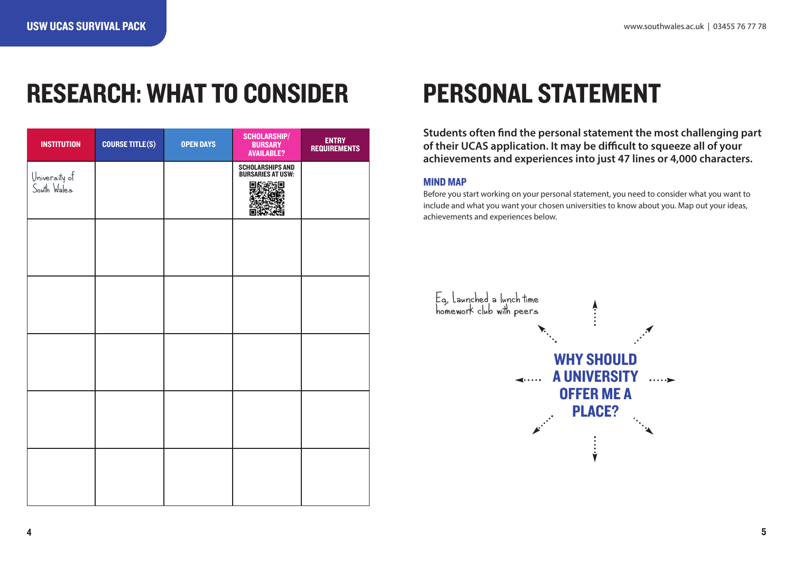### RESEARCH: WHAT TO CONSIDER

| <b>INSTITUTION</b>           | <b>COURSE TITLE(S)</b> | <b>OPEN DAYS</b> | <b>SCHOLARSHIP/</b><br><b>BURSARY</b><br><b>AVAILABLE?</b> | ENTRY<br>REQUIREMENTS |
|------------------------------|------------------------|------------------|------------------------------------------------------------|-----------------------|
| University of<br>South Wales |                        |                  | SCHOLARSHIPS AND<br>BURSARIES AT USW:<br>汩                 |                       |
|                              |                        |                  |                                                            |                       |
|                              |                        |                  |                                                            |                       |
|                              |                        |                  |                                                            |                       |
|                              |                        |                  |                                                            |                       |
|                              |                        |                  |                                                            |                       |

## PERSONAL STATEMENT

**Students often find the personal statement the most challenging part of their UCAS application. It may be difficult to squeeze all of your achievements and experiences into just 47 lines or 4,000 characters.** 

#### MIND MAP

Before you start working on your personal statement, you need to consider what you want to include and what you want your chosen universities to know about you. Map out your ideas, achievements and experiences below.

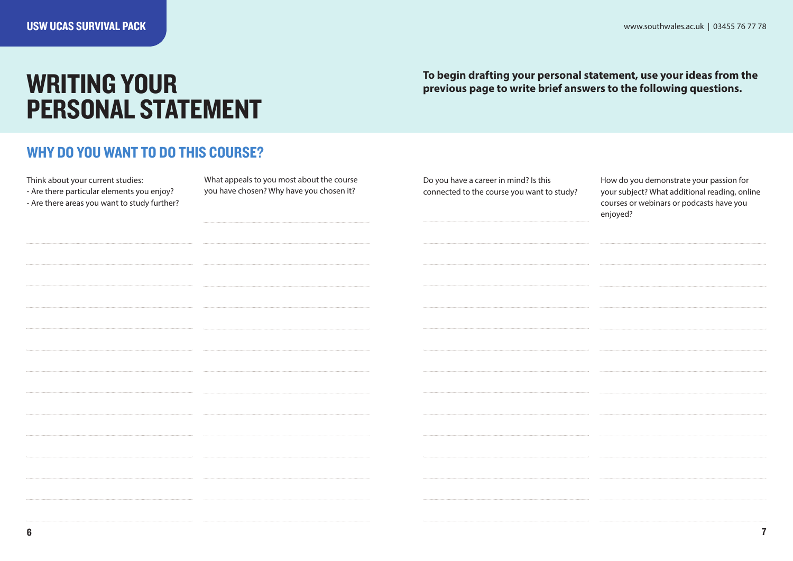### WRITING YOUR PERSONAL STATEMENT

**To begin drafting your personal statement, use your ideas from the previous page to write brief answers to the following questions.** 

#### WHY DO YOU WANT TO DO THIS COURSE?

Think about your current studies:

- Are there particular elements you enjoy?

- Are there areas you want to study further?

What appeals to you most about the course you have chosen? Why have you chosen it?

Do you have a career in mind? Is this connected to the course you want to study? How do you demonstrate your passion for your subject? What additional reading, online courses or webinars or podcasts have you enjoyed?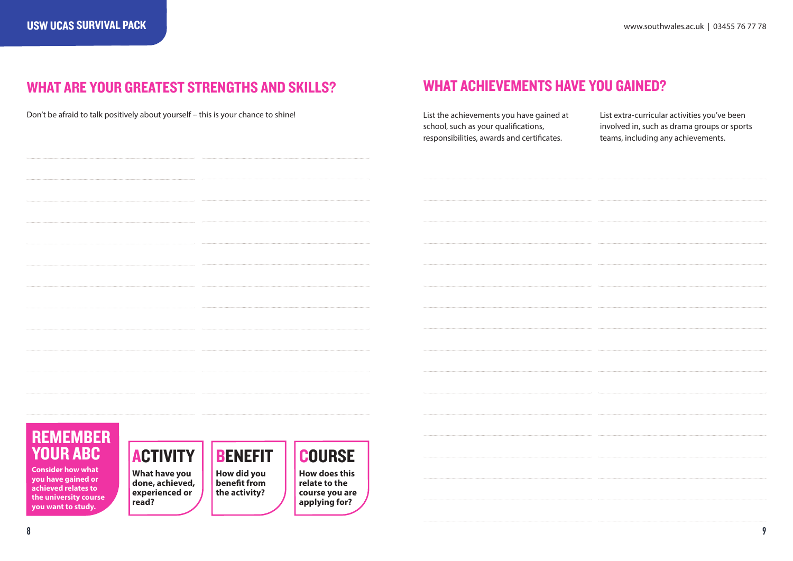### WHAT ARE YOUR GREATEST STRENGTHS AND SKILLS? WHAT ACHIEVEMENTS HAVE YOU GAINED?

Don't be afraid to talk positively about yourself - this is your chance to shine!

List the achievements you have gained at school, such as your qualifications, responsibilities, awards and certificates.

List extra-curricular activities you've been involved in, such as drama groups or sports teams, including any achievements.

### REMEMBER YOUR ABC

**Consider how what you have gained or achieved relates to the university course you want to study.**

### ACTIVITY

**What have you done, achieved, experienced or read?**



**the activity?**

**How does this relate to the course you are applying for?**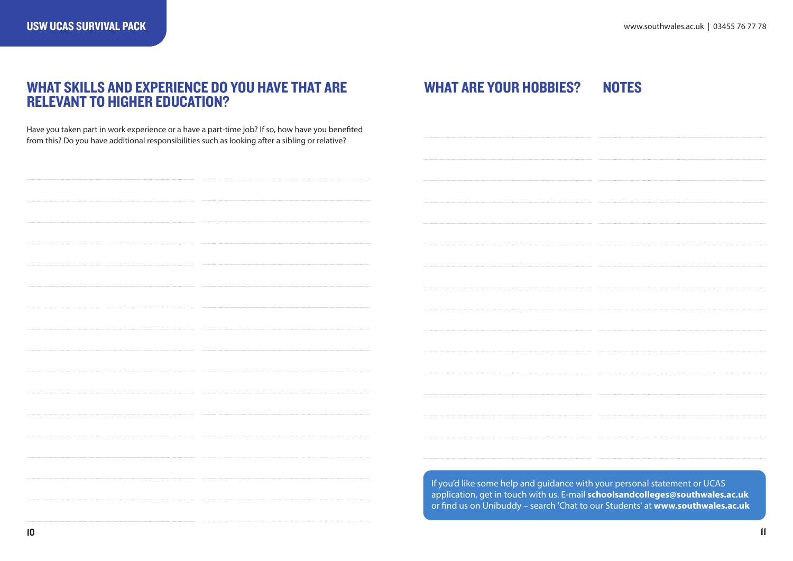#### WHAT SKILLS AND EXPERIENCE DO YOU HAVE THAT ARE RELEVANT TO HIGHER EDUCATION?

Have you taken part in work experience or a have a part-time job? If so, how have you benefited from this? Do you have additional responsibilities such as looking after a sibling or relative?

#### **NOTES** WHAT ARE YOUR HOBBIES?

If you'd like some help and guidance with your personal statement or UCAS application, get in touch with us. E-mail **schoolsandcolleges@southwales.ac.uk** or find us on Unibuddy – search 'Chat to our Students' at **www.southwales.ac.uk**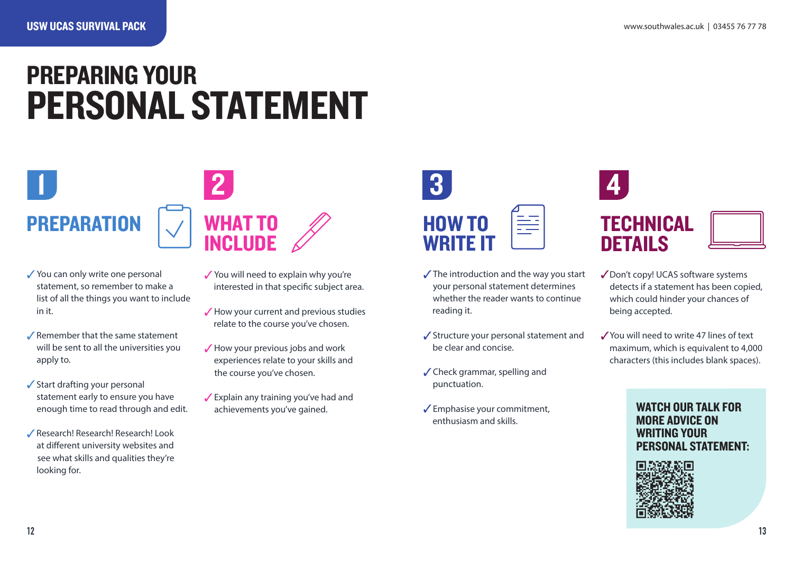## PREPARING YOUR PERSONAL STATEMENT



- $\checkmark$  You can only write one personal statement, so remember to make a list of all the things you want to include in it.
- $\sqrt{\ }$  Remember that the same statement will be sent to all the universities you apply to.
- $\checkmark$  Start drafting your personal statement early to ensure you have enough time to read through and edit.
- 3Research! Research! Research! Look at different university websites and see what skills and qualities they're looking for.
- You will need to explain why you're interested in that specific subject area.
- $\sqrt{\frac{1}{100}}$  How your current and previous studies relate to the course you've chosen.
- $\sqrt{\frac{1}{100}}$  How your previous jobs and work experiences relate to your skills and the course you've chosen.
- $\sqrt{\frac{1}{2}}$  Explain any training you've had and achievements you've gained.



- $\sqrt{\ }$  The introduction and the way you start your personal statement determines whether the reader wants to continue reading it.
- $\checkmark$  Structure your personal statement and be clear and concise.
- $\checkmark$  Check grammar, spelling and punctuation.
- $\sqrt{\frac{2}{1}}$ Emphasise your commitment, enthusiasm and skills.





- ◆ Don't copy! UCAS software systems detects if a statement has been copied, which could hinder your chances of being accepted.
- 3You will need to write 47 lines of text maximum, which is equivalent to 4,000 characters (this includes blank spaces).

#### WATCH OUR TALK FOR MORE ADVICE ON WRITING YOUR PERSONAL STATEMENT:

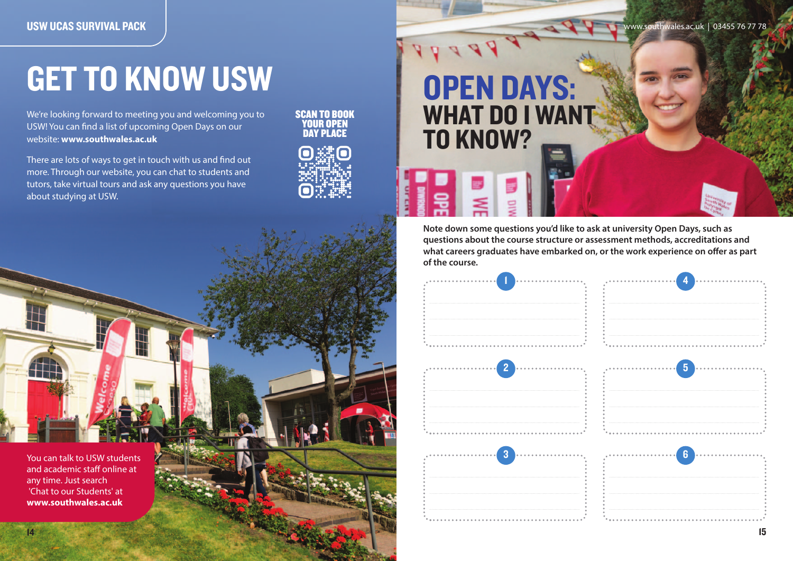## GET TO KNOW USW

We're looking forward to meeting you and welcoming you to USW! You can find a list of upcoming Open Days on our website: **www.southwales.ac.uk**

There are lots of ways to get in touch with us and find out more. Through our website, you can chat to students and tutors, take virtual tours and ask any questions you have about studying at USW.

SCAN TO BOOK YOUR OPEN DAY PLACE



## OPEN DAYS: WHAT DO I WANT TO KNOW?

**Note down some questions you'd like to ask at university Open Days, such as questions about the course structure or assessment methods, accreditations and what careers graduates have embarked on, or the work experience on offer as part of the course.**



You can talk to USW students and academic staff online at any time. Just search 'Chat to our Students' at **www.southwales.ac.uk**